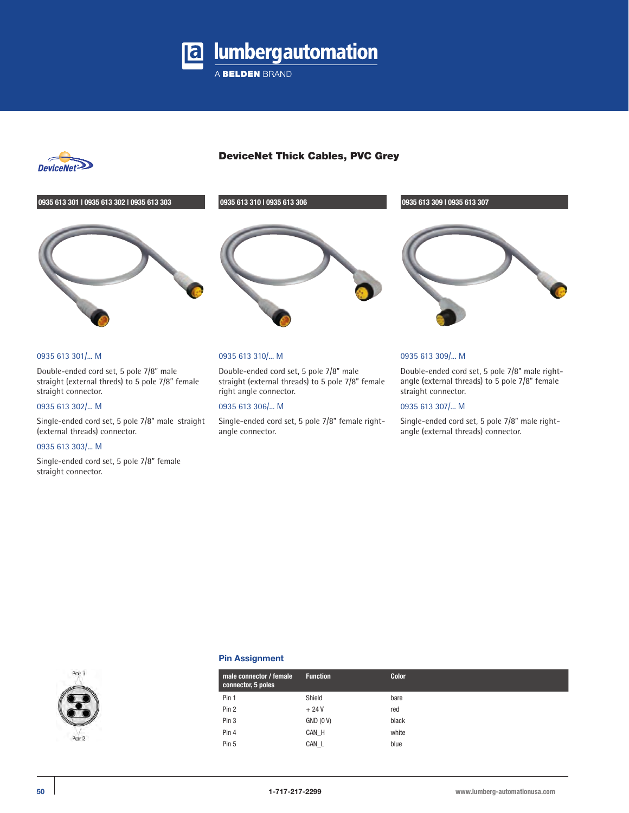

A BELDEN BRAND



# DeviceNet Thick Cables, PVC Grey



# 0935 613 301/... M

Double-ended cord set, 5 pole 7/8" male straight (external threds) to 5 pole 7/8" female straight connector.

#### 0935 613 302/... M

Single-ended cord set, 5 pole 7/8" male straight (external threads) connector.

#### 0935 613 303/... M

Single-ended cord set, 5 pole 7/8" female straight connector.

# 0935 613 310/... M

Double-ended cord set, 5 pole 7/8" male straight (external threads) to 5 pole 7/8" female right angle connector.

# 0935 613 306/... M

Single-ended cord set, 5 pole 7/8" female rightangle connector.



## 0935 613 309/... M

Double-ended cord set, 5 pole 7/8" male rightangle (external threads) to 5 pole 7/8" female straight connector.

## 0935 613 307/... M

Single-ended cord set, 5 pole 7/8" male rightangle (external threads) connector.



#### **Pin Assignment**

| male connector / female<br>connector, 5 poles | <b>Function</b> | <b>Color</b> |
|-----------------------------------------------|-----------------|--------------|
| Pin 1                                         | Shield          | bare         |
| Pin 2                                         | $+24V$          | red          |
| Pin 3                                         | $GND$ $(0 V)$   | black        |
| Pin 4                                         | CAN H           | white        |
| Pin 5                                         | CAN L           | blue         |